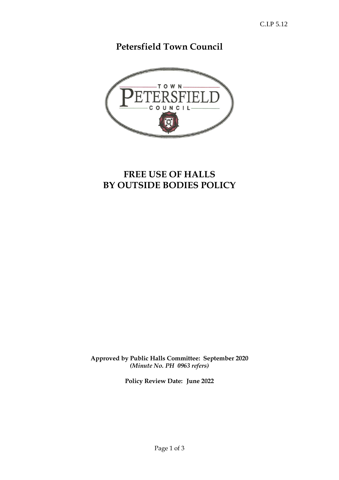**Petersfield Town Council** 



# **FREE USE OF HALLS BY OUTSIDE BODIES POLICY**

**Approved by Public Halls Committee: September 2020** *(Minute No. PH 0963 refers)*

**Policy Review Date: June 2022**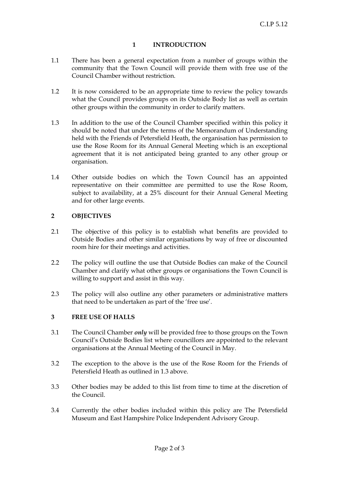# **1 INTRODUCTION**

- 1.1 There has been a general expectation from a number of groups within the community that the Town Council will provide them with free use of the Council Chamber without restriction.
- 1.2 It is now considered to be an appropriate time to review the policy towards what the Council provides groups on its Outside Body list as well as certain other groups within the community in order to clarify matters.
- 1.3 In addition to the use of the Council Chamber specified within this policy it should be noted that under the terms of the Memorandum of Understanding held with the Friends of Petersfield Heath, the organisation has permission to use the Rose Room for its Annual General Meeting which is an exceptional agreement that it is not anticipated being granted to any other group or organisation.
- 1.4 Other outside bodies on which the Town Council has an appointed representative on their committee are permitted to use the Rose Room, subject to availability, at a 25% discount for their Annual General Meeting and for other large events.

# **2 OBJECTIVES**

- 2.1 The objective of this policy is to establish what benefits are provided to Outside Bodies and other similar organisations by way of free or discounted room hire for their meetings and activities.
- 2.2 The policy will outline the use that Outside Bodies can make of the Council Chamber and clarify what other groups or organisations the Town Council is willing to support and assist in this way.
- 2.3 The policy will also outline any other parameters or administrative matters that need to be undertaken as part of the 'free use'.

#### **3 FREE USE OF HALLS**

- 3.1 The Council Chamber *only* will be provided free to those groups on the Town Council's Outside Bodies list where councillors are appointed to the relevant organisations at the Annual Meeting of the Council in May.
- 3.2 The exception to the above is the use of the Rose Room for the Friends of Petersfield Heath as outlined in 1.3 above.
- 3.3 Other bodies may be added to this list from time to time at the discretion of the Council.
- 3.4 Currently the other bodies included within this policy are The Petersfield Museum and East Hampshire Police Independent Advisory Group.